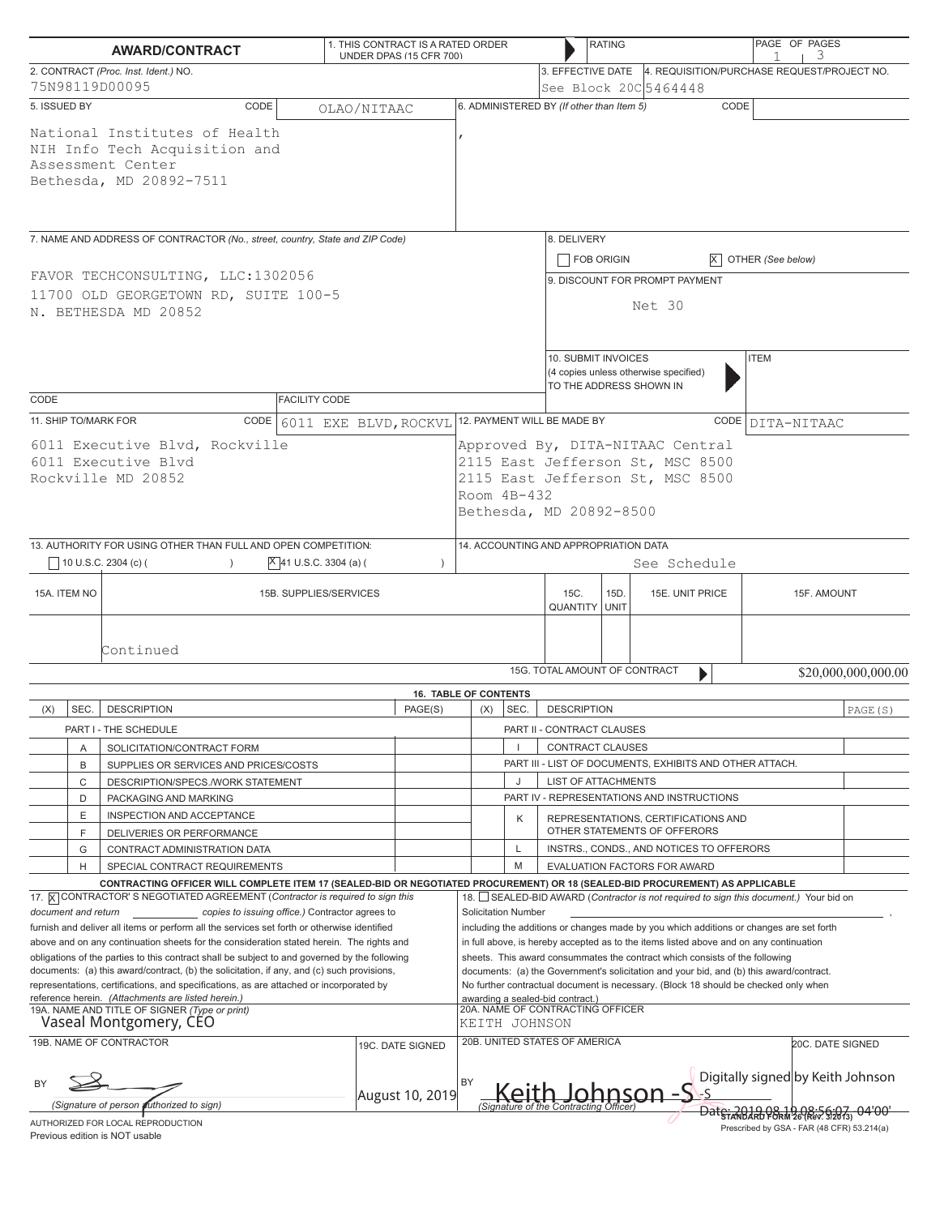|                                                                                                                                                                                                                                                                                                                                                                              | <b>AWARD/CONTRACT</b>                                                                                                                                                                 | 1. THIS CONTRACT IS A RATED ORDER | UNDER DPAS (15 CFR 700)      |                                                                                                                                                      |                                                                                         |                                                                                     | <b>RATING</b>                                                                                          |                                                                                        | PAGE OF PAGES<br>3                |                     |  |
|------------------------------------------------------------------------------------------------------------------------------------------------------------------------------------------------------------------------------------------------------------------------------------------------------------------------------------------------------------------------------|---------------------------------------------------------------------------------------------------------------------------------------------------------------------------------------|-----------------------------------|------------------------------|------------------------------------------------------------------------------------------------------------------------------------------------------|-----------------------------------------------------------------------------------------|-------------------------------------------------------------------------------------|--------------------------------------------------------------------------------------------------------|----------------------------------------------------------------------------------------|-----------------------------------|---------------------|--|
| 2. CONTRACT (Proc. Inst. Ident.) NO.<br>75N98119D00095                                                                                                                                                                                                                                                                                                                       |                                                                                                                                                                                       |                                   |                              |                                                                                                                                                      |                                                                                         |                                                                                     |                                                                                                        | 3. EFFECTIVE DATE 4. REQUISITION/PURCHASE REQUEST/PROJECT NO.<br>See Block 20C 5464448 |                                   |                     |  |
| 5. ISSUED BY                                                                                                                                                                                                                                                                                                                                                                 | CODE                                                                                                                                                                                  | OLAO/NITAAC                       |                              |                                                                                                                                                      |                                                                                         | 6. ADMINISTERED BY (If other than Item 5)                                           |                                                                                                        | CODE                                                                                   |                                   |                     |  |
|                                                                                                                                                                                                                                                                                                                                                                              | National Institutes of Health<br>NIH Info Tech Acquisition and<br>Assessment Center<br>Bethesda, MD 20892-7511                                                                        |                                   |                              |                                                                                                                                                      |                                                                                         |                                                                                     |                                                                                                        |                                                                                        |                                   |                     |  |
| 7. NAME AND ADDRESS OF CONTRACTOR (No., street, country, State and ZIP Code)                                                                                                                                                                                                                                                                                                 |                                                                                                                                                                                       |                                   |                              |                                                                                                                                                      |                                                                                         | 8. DELIVERY<br>FOB ORIGIN                                                           |                                                                                                        |                                                                                        | $\overline{X}$ OTHER (See below)  |                     |  |
| FAVOR TECHCONSULTING, LLC:1302056<br>11700 OLD GEORGETOWN RD, SUITE 100-5<br>N. BETHESDA MD 20852                                                                                                                                                                                                                                                                            |                                                                                                                                                                                       |                                   |                              |                                                                                                                                                      |                                                                                         | 9. DISCOUNT FOR PROMPT PAYMENT<br>Net 30                                            |                                                                                                        |                                                                                        |                                   |                     |  |
| CODE<br><b>FACILITY CODE</b>                                                                                                                                                                                                                                                                                                                                                 |                                                                                                                                                                                       |                                   |                              |                                                                                                                                                      |                                                                                         |                                                                                     | 10. SUBMIT INVOICES<br><b>ITEM</b><br>(4 copies unless otherwise specified)<br>TO THE ADDRESS SHOWN IN |                                                                                        |                                   |                     |  |
| 11. SHIP TO/MARK FOR                                                                                                                                                                                                                                                                                                                                                         | CODE                                                                                                                                                                                  | 6011 EXE BLVD, ROCKVL             |                              |                                                                                                                                                      |                                                                                         | 12. PAYMENT WILL BE MADE BY                                                         |                                                                                                        |                                                                                        | CODE DITA-NITAAC                  |                     |  |
| 6011 Executive Blvd, Rockville<br>6011 Executive Blyd<br>Rockville MD 20852                                                                                                                                                                                                                                                                                                  |                                                                                                                                                                                       |                                   |                              | Approved By, DITA-NITAAC Central<br>2115 East Jefferson St, MSC 8500<br>2115 East Jefferson St, MSC 8500<br>Room $4B-432$<br>Bethesda, MD 20892-8500 |                                                                                         |                                                                                     |                                                                                                        |                                                                                        |                                   |                     |  |
|                                                                                                                                                                                                                                                                                                                                                                              | 13. AUTHORITY FOR USING OTHER THAN FULL AND OPEN COMPETITION:<br>10 U.S.C. 2304 (c) (                                                                                                 | $X$ 41 U.S.C. 3304 (a) (          | $\lambda$                    |                                                                                                                                                      |                                                                                         | 14. ACCOUNTING AND APPROPRIATION DATA                                               |                                                                                                        | See Schedule                                                                           |                                   |                     |  |
|                                                                                                                                                                                                                                                                                                                                                                              |                                                                                                                                                                                       |                                   |                              |                                                                                                                                                      |                                                                                         |                                                                                     |                                                                                                        |                                                                                        |                                   |                     |  |
| 15A. ITEM NO                                                                                                                                                                                                                                                                                                                                                                 |                                                                                                                                                                                       | 15B. SUPPLIES/SERVICES            |                              |                                                                                                                                                      |                                                                                         | 15C.<br><b>QUANTITY UNIT</b>                                                        | 15D.                                                                                                   | 15E. UNIT PRICE                                                                        | 15F. AMOUNT                       |                     |  |
|                                                                                                                                                                                                                                                                                                                                                                              | Continued                                                                                                                                                                             |                                   |                              |                                                                                                                                                      |                                                                                         | 15G. TOTAL AMOUNT OF CONTRACT                                                       |                                                                                                        | $\blacktriangleright$                                                                  |                                   | \$20,000,000,000.00 |  |
|                                                                                                                                                                                                                                                                                                                                                                              |                                                                                                                                                                                       |                                   | <b>16. TABLE OF CONTENTS</b> |                                                                                                                                                      |                                                                                         |                                                                                     |                                                                                                        |                                                                                        |                                   |                     |  |
| (X)<br>SEC.                                                                                                                                                                                                                                                                                                                                                                  | <b>DESCRIPTION</b>                                                                                                                                                                    |                                   | PAGE(S)                      | (X)                                                                                                                                                  | SEC.                                                                                    | <b>DESCRIPTION</b>                                                                  |                                                                                                        |                                                                                        |                                   | PAGE (S)            |  |
| Α                                                                                                                                                                                                                                                                                                                                                                            | PART I - THE SCHEDULE<br>SOLICITATION/CONTRACT FORM                                                                                                                                   |                                   |                              |                                                                                                                                                      |                                                                                         | PART II - CONTRACT CLAUSES                                                          |                                                                                                        |                                                                                        |                                   |                     |  |
| B                                                                                                                                                                                                                                                                                                                                                                            | SUPPLIES OR SERVICES AND PRICES/COSTS                                                                                                                                                 |                                   |                              |                                                                                                                                                      |                                                                                         | <b>CONTRACT CLAUSES</b><br>PART III - LIST OF DOCUMENTS, EXHIBITS AND OTHER ATTACH. |                                                                                                        |                                                                                        |                                   |                     |  |
| C                                                                                                                                                                                                                                                                                                                                                                            | DESCRIPTION/SPECS./WORK STATEMENT                                                                                                                                                     |                                   |                              |                                                                                                                                                      | IJ                                                                                      | <b>LIST OF ATTACHMENTS</b>                                                          |                                                                                                        |                                                                                        |                                   |                     |  |
| D                                                                                                                                                                                                                                                                                                                                                                            | PACKAGING AND MARKING                                                                                                                                                                 |                                   |                              |                                                                                                                                                      |                                                                                         |                                                                                     |                                                                                                        | PART IV - REPRESENTATIONS AND INSTRUCTIONS                                             |                                   |                     |  |
| Ε                                                                                                                                                                                                                                                                                                                                                                            | INSPECTION AND ACCEPTANCE                                                                                                                                                             |                                   |                              |                                                                                                                                                      | Κ                                                                                       |                                                                                     | REPRESENTATIONS, CERTIFICATIONS AND<br>OTHER STATEMENTS OF OFFERORS                                    |                                                                                        |                                   |                     |  |
| F<br>G                                                                                                                                                                                                                                                                                                                                                                       | DELIVERIES OR PERFORMANCE<br>CONTRACT ADMINISTRATION DATA                                                                                                                             |                                   |                              |                                                                                                                                                      | L                                                                                       |                                                                                     |                                                                                                        | INSTRS., CONDS., AND NOTICES TO OFFERORS                                               |                                   |                     |  |
| H                                                                                                                                                                                                                                                                                                                                                                            | SPECIAL CONTRACT REQUIREMENTS                                                                                                                                                         |                                   |                              |                                                                                                                                                      | M                                                                                       |                                                                                     |                                                                                                        | EVALUATION FACTORS FOR AWARD                                                           |                                   |                     |  |
|                                                                                                                                                                                                                                                                                                                                                                              | CONTRACTING OFFICER WILL COMPLETE ITEM 17 (SEALED-BID OR NEGOTIATED PROCUREMENT) OR 18 (SEALED-BID PROCUREMENT) AS APPLICABLE                                                         |                                   |                              |                                                                                                                                                      |                                                                                         |                                                                                     |                                                                                                        |                                                                                        |                                   |                     |  |
|                                                                                                                                                                                                                                                                                                                                                                              | 17. X CONTRACTOR'S NEGOTIATED AGREEMENT (Contractor is required to sign this                                                                                                          |                                   |                              |                                                                                                                                                      |                                                                                         |                                                                                     |                                                                                                        | 18. SEALED-BID AWARD (Contractor is not required to sign this document.) Your bid on   |                                   |                     |  |
| document and return                                                                                                                                                                                                                                                                                                                                                          | copies to issuing office.) Contractor agrees to                                                                                                                                       |                                   |                              |                                                                                                                                                      | <b>Solicitation Number</b>                                                              |                                                                                     |                                                                                                        |                                                                                        |                                   |                     |  |
| furnish and deliver all items or perform all the services set forth or otherwise identified<br>including the additions or changes made by you which additions or changes are set forth<br>above and on any continuation sheets for the consideration stated herein. The rights and<br>in full above, is hereby accepted as to the items listed above and on any continuation |                                                                                                                                                                                       |                                   |                              |                                                                                                                                                      |                                                                                         |                                                                                     |                                                                                                        |                                                                                        |                                   |                     |  |
| obligations of the parties to this contract shall be subject to and governed by the following                                                                                                                                                                                                                                                                                |                                                                                                                                                                                       |                                   |                              | sheets. This award consummates the contract which consists of the following                                                                          |                                                                                         |                                                                                     |                                                                                                        |                                                                                        |                                   |                     |  |
|                                                                                                                                                                                                                                                                                                                                                                              | documents: (a) this award/contract, (b) the solicitation, if any, and (c) such provisions,<br>representations, certifications, and specifications, as are attached or incorporated by |                                   |                              |                                                                                                                                                      | documents: (a) the Government's solicitation and your bid, and (b) this award/contract. |                                                                                     |                                                                                                        |                                                                                        |                                   |                     |  |
| reference herein. (Attachments are listed herein.)                                                                                                                                                                                                                                                                                                                           |                                                                                                                                                                                       |                                   |                              | No further contractual document is necessary. (Block 18 should be checked only when<br>awarding a sealed-bid contract.)                              |                                                                                         |                                                                                     |                                                                                                        |                                                                                        |                                   |                     |  |
| 19A. NAME AND TITLE OF SIGNER (Type or print)<br>Vaseal Montgomery, CEO                                                                                                                                                                                                                                                                                                      |                                                                                                                                                                                       |                                   |                              | 20A. NAME OF CONTRACTING OFFICER<br>KEITH JOHNSON                                                                                                    |                                                                                         |                                                                                     |                                                                                                        |                                                                                        |                                   |                     |  |
|                                                                                                                                                                                                                                                                                                                                                                              | 19B. NAME OF CONTRACTOR                                                                                                                                                               |                                   | 19C. DATE SIGNED             |                                                                                                                                                      |                                                                                         | 20B. UNITED STATES OF AMERICA                                                       |                                                                                                        |                                                                                        | <b>20C. DATE SIGNED</b>           |                     |  |
| August 10, 2019                                                                                                                                                                                                                                                                                                                                                              |                                                                                                                                                                                       |                                   |                              | BY                                                                                                                                                   |                                                                                         |                                                                                     |                                                                                                        | <u> Johnson -S s</u>                                                                   | Digitally signed by Keith Johnson |                     |  |
| (Signature of person <i>futhorized to sign)</i><br>Date: 2010.08.10.08:56:07<br>AUTHORIZED FOR LOCAL REPRODUCTION                                                                                                                                                                                                                                                            |                                                                                                                                                                                       |                                   |                              |                                                                                                                                                      |                                                                                         |                                                                                     |                                                                                                        |                                                                                        |                                   |                     |  |

Previous edition is NOT usable

Prescribed by GSA - FAR (48 CFR) 53.214(a)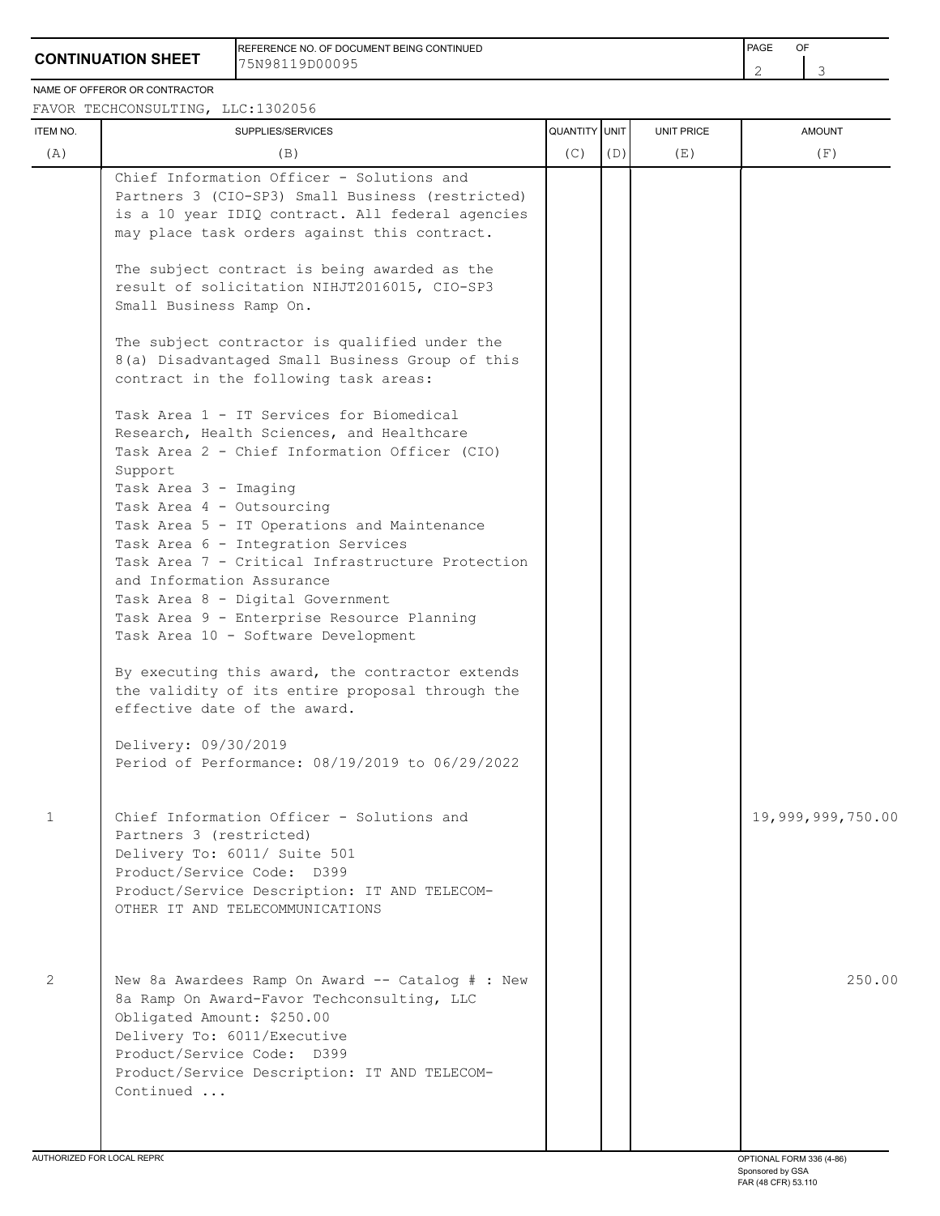## **CONTINUATION SHEET**

REFERENCE NO. OF DOCUMENT BEING CONTINUED **FRAME OF A SECONT ASSAULT A SECONT ASSAULT** PAGE OF 75N98119D00095

NAME OF OFFEROR OR CONTRACTOR

FAVOR TECHCONSULTING, LLC:1302056

| ITEM NO.                  | SUPPLIES/SERVICES                                                                                                                                                                                                                                                                                                                                                                                                                                                                                                                                                                                                                                                                                                                                                                                                                                                                                                                                                                                                                                                                                                                                                                                    | QUANTITY UNIT |     | UNIT PRICE | <b>AMOUNT</b>     |
|---------------------------|------------------------------------------------------------------------------------------------------------------------------------------------------------------------------------------------------------------------------------------------------------------------------------------------------------------------------------------------------------------------------------------------------------------------------------------------------------------------------------------------------------------------------------------------------------------------------------------------------------------------------------------------------------------------------------------------------------------------------------------------------------------------------------------------------------------------------------------------------------------------------------------------------------------------------------------------------------------------------------------------------------------------------------------------------------------------------------------------------------------------------------------------------------------------------------------------------|---------------|-----|------------|-------------------|
| (A)                       | (B)                                                                                                                                                                                                                                                                                                                                                                                                                                                                                                                                                                                                                                                                                                                                                                                                                                                                                                                                                                                                                                                                                                                                                                                                  | (C)           | (D) | (E)        | (F)               |
|                           | Chief Information Officer - Solutions and<br>Partners 3 (CIO-SP3) Small Business (restricted)<br>is a 10 year IDIQ contract. All federal agencies<br>may place task orders against this contract.<br>The subject contract is being awarded as the<br>result of solicitation NIHJT2016015, CIO-SP3<br>Small Business Ramp On.<br>The subject contractor is qualified under the<br>8(a) Disadvantaged Small Business Group of this<br>contract in the following task areas:<br>Task Area 1 - IT Services for Biomedical<br>Research, Health Sciences, and Healthcare<br>Task Area 2 - Chief Information Officer (CIO)<br>Support<br>Task Area 3 - Imaging<br>Task Area 4 - Outsourcing<br>Task Area 5 - IT Operations and Maintenance<br>Task Area 6 - Integration Services<br>Task Area 7 - Critical Infrastructure Protection<br>and Information Assurance<br>Task Area 8 - Digital Government<br>Task Area 9 - Enterprise Resource Planning<br>Task Area 10 - Software Development<br>By executing this award, the contractor extends<br>the validity of its entire proposal through the<br>effective date of the award.<br>Delivery: 09/30/2019<br>Period of Performance: 08/19/2019 to 06/29/2022 |               |     |            |                   |
| $\mathbf{1}$              | Chief Information Officer - Solutions and<br>Partners 3 (restricted)<br>Delivery To: 6011/ Suite 501<br>Product/Service Code: D399<br>Product/Service Description: IT AND TELECOM-<br>OTHER IT AND TELECOMMUNICATIONS                                                                                                                                                                                                                                                                                                                                                                                                                                                                                                                                                                                                                                                                                                                                                                                                                                                                                                                                                                                |               |     |            | 19,999,999,750.00 |
| $\mathbf{2}^{\mathsf{I}}$ | New 8a Awardees Ramp On Award -- Catalog # : New<br>8a Ramp On Award-Favor Techconsulting, LLC<br>Obligated Amount: \$250.00<br>Delivery To: 6011/Executive<br>Product/Service Code: D399<br>Product/Service Description: IT AND TELECOM-<br>Continued                                                                                                                                                                                                                                                                                                                                                                                                                                                                                                                                                                                                                                                                                                                                                                                                                                                                                                                                               |               |     |            | 250.00            |